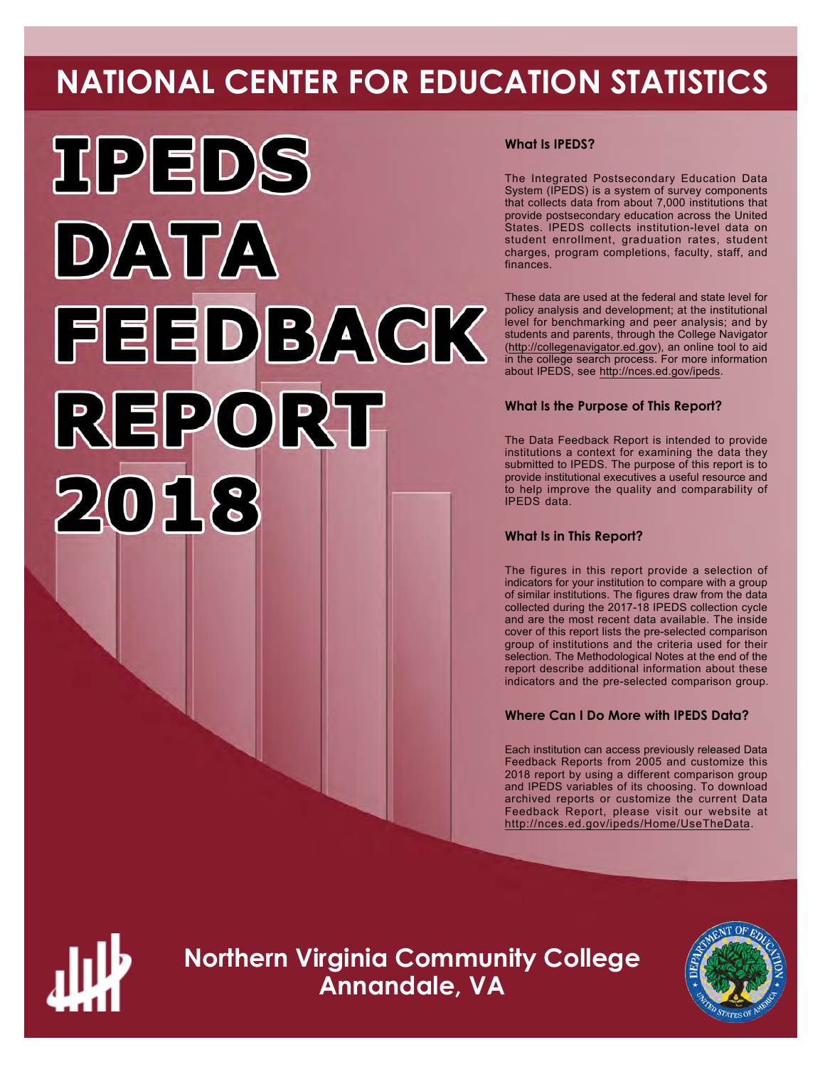# **NATIONAL CENTER FOR EDUCATION STATISTICS**



# **What Is IPEDS?**

The Integrated Postsecondary Education Data System (IPEDS) is a system of survey components that collects data from about 7,000 institutions that provide postsecondary education across the United States. IPEDS collects institution-level data on student enrollment, graduation rates, student charges, program completions, faculty, staff, and finances.

These data are used at the federal and state level for policy analysis and development; at the institutional level for benchmarking and peer analysis; and by students and parents, through the College Navigator ([http://collegenavigator.ed.gov\)](http://collegenavigator.ed.gov), an online tool to aid in the college search process. For more information about IPEDS, see [http://nces.ed.gov/ipeds.](http://nces.ed.gov/ipeds)

# **What Is the Purpose of This Report?**

The Data Feedback Report is intended to provide institutions a context for examining the data they submitted to IPEDS. The purpose of this report is to provide institutional executives a useful resource and to help improve the quality and comparability of IPEDS data.

# **What Is in This Report?**

The figures in this report provide a selection of indicators for your institution to compare with a group of similar institutions. The figures draw from the data collected during the 2017-18 IPEDS collection cycle and are the most recent data available. The inside cover of this report lists the pre-selected comparison group of institutions and the criteria used for their selection. The Methodological Notes at the end of the report describe additional information about these indicators and the pre-selected comparison group.

# **Where Can I Do More with IPEDS Data?**

Each institution can access previously released Data Feedback Reports from 2005 and customize this 2018 report by using a different comparison group and IPEDS variables of its choosing. To download archived reports or customize the current Data Feedback Report, please visit our website at <http://nces.ed.gov/ipeds/Home/UseTheData>.



**Northern Virginia Community College Annandale, VA**

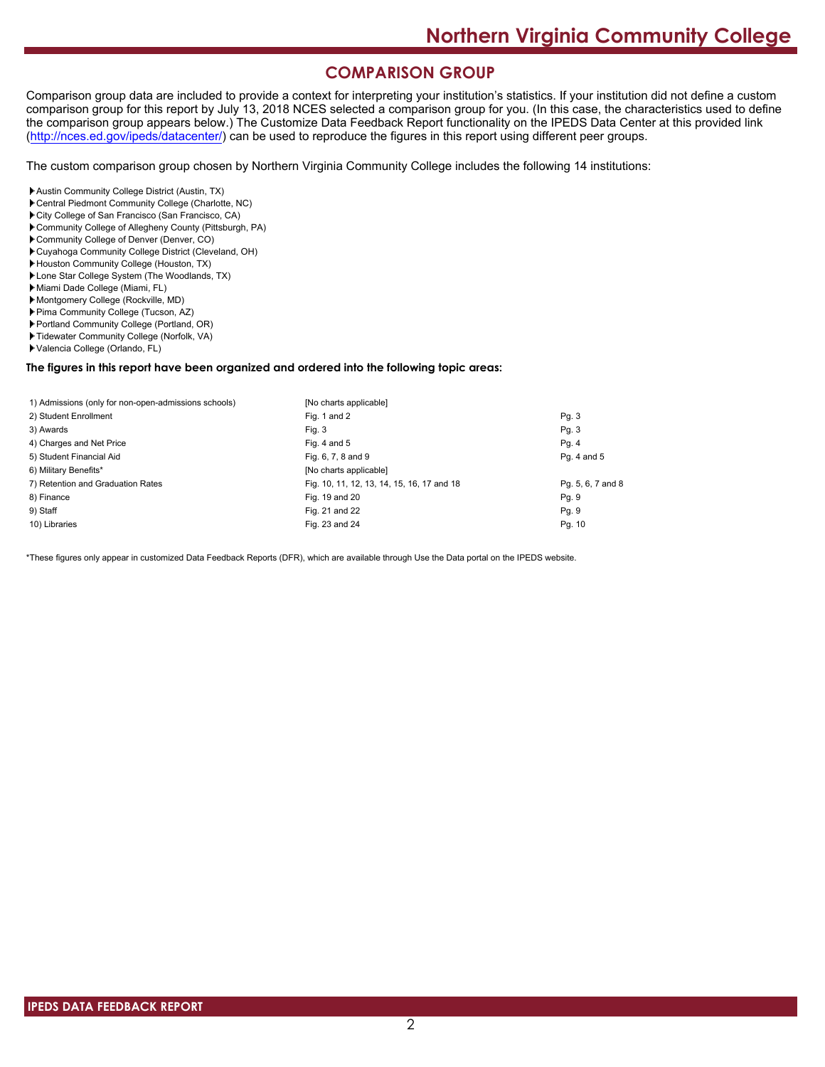# **COMPARISON GROUP**

Comparison group data are included to provide a context for interpreting your institution's statistics. If your institution did not define a custom comparison group for this report by July 13, 2018 NCES selected a comparison group for you. (In this case, the characteristics used to define the comparison group appears below.) The Customize Data Feedback Report functionality on the IPEDS Data Center at this provided link [\(http://nces.ed.gov/ipeds/datacenter/\)](http://nces.ed.gov/ipeds/datacenter/) can be used to reproduce the figures in this report using different peer groups.

The custom comparison group chosen by Northern Virginia Community College includes the following 14 institutions:

- Austin Community College District (Austin, TX)
- Central Piedmont Community College (Charlotte, NC)
- City College of San Francisco (San Francisco, CA)
- Community College of Allegheny County (Pittsburgh, PA)
- Community College of Denver (Denver, CO)
- Cuyahoga Community College District (Cleveland, OH)
- Houston Community College (Houston, TX)
- Lone Star College System (The Woodlands, TX)
- Miami Dade College (Miami, FL)
- Montgomery College (Rockville, MD)
- Pima Community College (Tucson, AZ)
- Portland Community College (Portland, OR)
- Tidewater Community College (Norfolk, VA)
- Valencia College (Orlando, FL)

#### **The figures in this report have been organized and ordered into the following topic areas:**

| 1) Admissions (only for non-open-admissions schools) | [No charts applicable]                     |                   |
|------------------------------------------------------|--------------------------------------------|-------------------|
| 2) Student Enrollment                                | Fig. 1 and 2                               | Pg.3              |
| 3) Awards                                            | Fig. 3                                     | Pg. 3             |
| 4) Charges and Net Price                             | Fig. 4 and $5$                             | Pg.4              |
| 5) Student Financial Aid                             | Fig. 6, 7, 8 and 9                         | Pg. 4 and 5       |
| 6) Military Benefits*                                | [No charts applicable]                     |                   |
| 7) Retention and Graduation Rates                    | Fig. 10, 11, 12, 13, 14, 15, 16, 17 and 18 | Pg. 5, 6, 7 and 8 |
| 8) Finance                                           | Fig. 19 and 20                             | Pg. 9             |
| 9) Staff                                             | Fig. 21 and 22                             | Pg. 9             |
| 10) Libraries                                        | Fig. 23 and 24                             | Pg. 10            |

\*These figures only appear in customized Data Feedback Reports (DFR), which are available through Use the Data portal on the IPEDS website.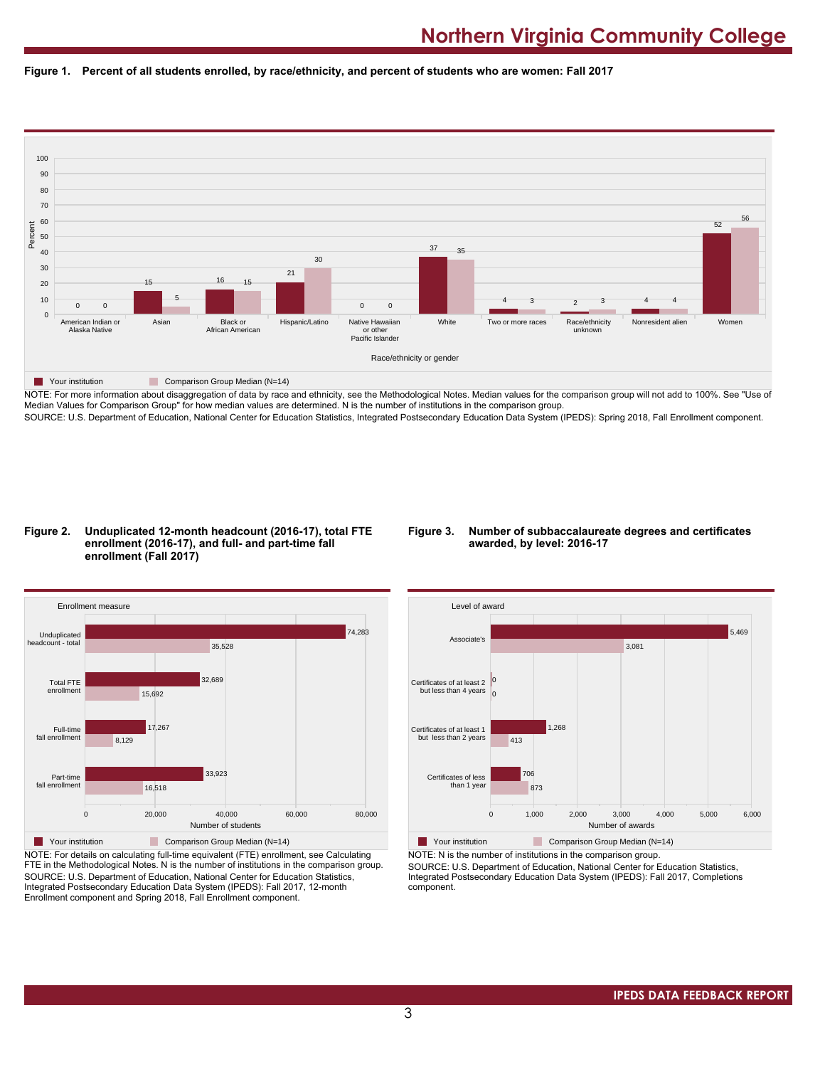



NOTE: For more information about disaggregation of data by race and ethnicity, see the Methodological Notes. Median values for the comparison group will not add to 100%. See "Use of Median Values for Comparison Group" for how median values are determined. N is the number of institutions in the comparison group. SOURCE: U.S. Department of Education, National Center for Education Statistics, Integrated Postsecondary Education Data System (IPEDS): Spring 2018, Fall Enrollment component.

#### **Figure 2. Unduplicated 12-month headcount (2016-17), total FTE enrollment (2016-17), and full- and part-time fall enrollment (Fall 2017)**

### **Figure 3. Number of subbaccalaureate degrees and certificates awarded, by level: 2016-17**



NOTE: For details on calculating full-time equivalent (FTE) enrollment, see Calculating FTE in the Methodological Notes. N is the number of institutions in the comparison group. SOURCE: U.S. Department of Education, National Center for Education Statistics, Integrated Postsecondary Education Data System (IPEDS): Fall 2017, 12-month Enrollment component and Spring 2018, Fall Enrollment component.



NOTE: N is the number of institutions in the comparison group.

SOURCE: U.S. Department of Education, National Center for Education Statistics, Integrated Postsecondary Education Data System (IPEDS): Fall 2017, Completions component.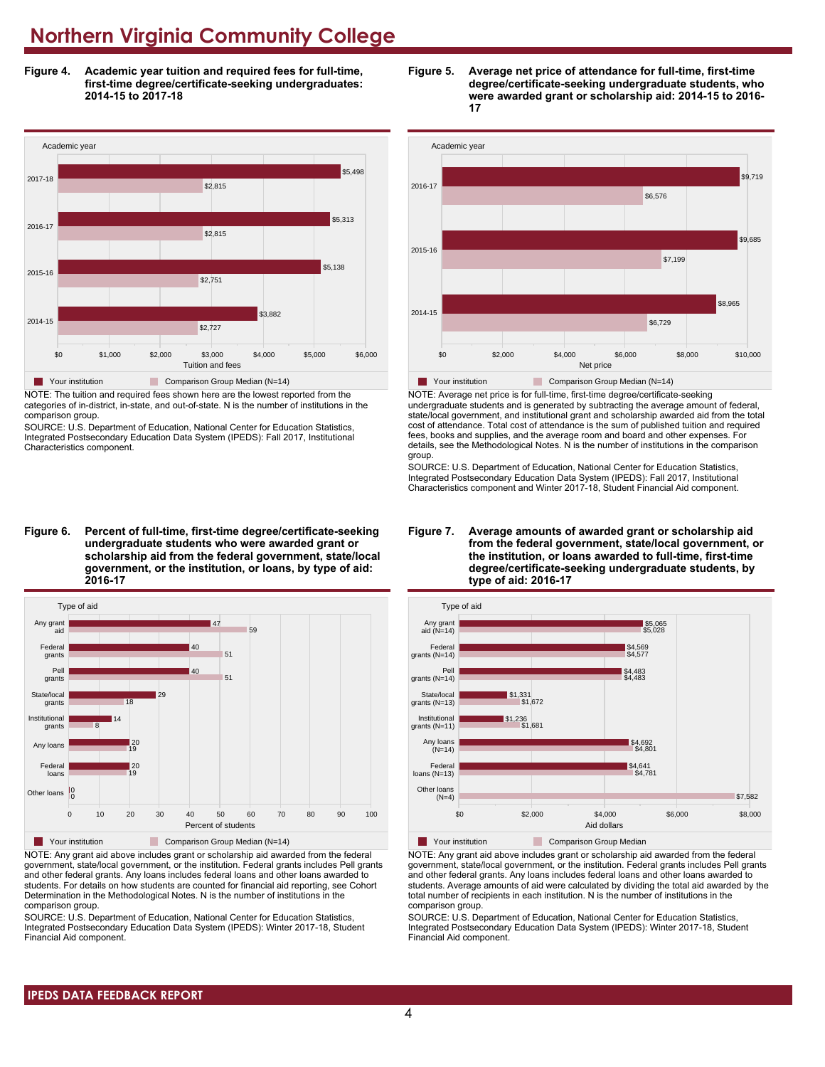**Figure 4. Academic year tuition and required fees for full-time, first-time degree/certificate-seeking undergraduates: 2014-15 to 2017-18**



NOTE: The tuition and required fees shown here are the lowest reported from the categories of in-district, in-state, and out-of-state. N is the number of institutions in the comparison group.

SOURCE: U.S. Department of Education, National Center for Education Statistics, Integrated Postsecondary Education Data System (IPEDS): Fall 2017, Institutional Characteristics component.

**Figure 6. Percent of full-time, first-time degree/certificate-seeking undergraduate students who were awarded grant or scholarship aid from the federal government, state/local government, or the institution, or loans, by type of aid: 2016-17**



NOTE: Any grant aid above includes grant or scholarship aid awarded from the federal government, state/local government, or the institution. Federal grants includes Pell grants and other federal grants. Any loans includes federal loans and other loans awarded to students. For details on how students are counted for financial aid reporting, see Cohort Determination in the Methodological Notes. N is the number of institutions in the comparison group.

SOURCE: U.S. Department of Education, National Center for Education Statistics, Integrated Postsecondary Education Data System (IPEDS): Winter 2017-18, Student Financial Aid component.





NOTE: Average net price is for full-time, first-time degree/certificate-seeking undergraduate students and is generated by subtracting the average amount of federal, state/local government, and institutional grant and scholarship awarded aid from the total cost of attendance. Total cost of attendance is the sum of published tuition and required fees, books and supplies, and the average room and board and other expenses. For details, see the Methodological Notes. N is the number of institutions in the comparison group.

SOURCE: U.S. Department of Education, National Center for Education Statistics, Integrated Postsecondary Education Data System (IPEDS): Fall 2017, Institutional Characteristics component and Winter 2017-18, Student Financial Aid component.





**The Your institution Comparison Group Median** 

NOTE: Any grant aid above includes grant or scholarship aid awarded from the federal government, state/local government, or the institution. Federal grants includes Pell grants and other federal grants. Any loans includes federal loans and other loans awarded to students. Average amounts of aid were calculated by dividing the total aid awarded by the total number of recipients in each institution. N is the number of institutions in the comparison group.

SOURCE: U.S. Department of Education, National Center for Education Statistics, Integrated Postsecondary Education Data System (IPEDS): Winter 2017-18, Student Financial Aid component.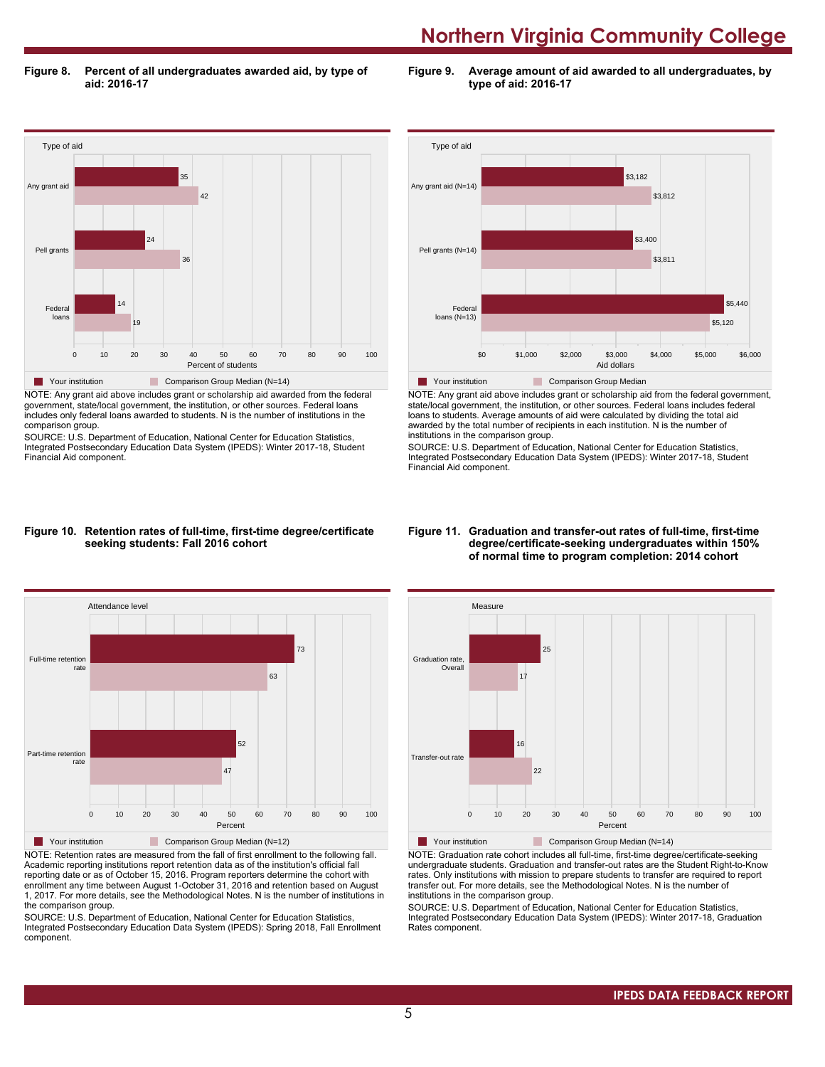**Figure 8. Percent of all undergraduates awarded aid, by type of aid: 2016-17**

**Figure 9. Average amount of aid awarded to all undergraduates, by type of aid: 2016-17**



NOTE: Any grant aid above includes grant or scholarship aid awarded from the federal government, state/local government, the institution, or other sources. Federal loans includes only federal loans awarded to students. N is the number of institutions in the comparison group.

SOURCE: U.S. Department of Education, National Center for Education Statistics, Integrated Postsecondary Education Data System (IPEDS): Winter 2017-18, Student Financial Aid component.



NOTE: Any grant aid above includes grant or scholarship aid from the federal government, state/local government, the institution, or other sources. Federal loans includes federal loans to students. Average amounts of aid were calculated by dividing the total aid awarded by the total number of recipients in each institution. N is the number of institutions in the comparison group.

SOURCE: U.S. Department of Education, National Center for Education Statistics, Integrated Postsecondary Education Data System (IPEDS): Winter 2017-18, Student Financial Aid component.

#### **Figure 10. Retention rates of full-time, first-time degree/certificate seeking students: Fall 2016 cohort**



NOTE: Retention rates are measured from the fall of first enrollment to the following fall. Academic reporting institutions report retention data as of the institution's official fall reporting date or as of October 15, 2016. Program reporters determine the cohort with enrollment any time between August 1-October 31, 2016 and retention based on August 1, 2017. For more details, see the Methodological Notes. N is the number of institutions in the comparison group.

SOURCE: U.S. Department of Education, National Center for Education Statistics, Integrated Postsecondary Education Data System (IPEDS): Spring 2018, Fall Enrollment component.

#### **Figure 11. Graduation and transfer-out rates of full-time, first-time degree/certificate-seeking undergraduates within 150% of normal time to program completion: 2014 cohort**



NOTE: Graduation rate cohort includes all full-time, first-time degree/certificate-seeking undergraduate students. Graduation and transfer-out rates are the Student Right-to-Know rates. Only institutions with mission to prepare students to transfer are required to report transfer out. For more details, see the Methodological Notes. N is the number of institutions in the comparison group.

SOURCE: U.S. Department of Education, National Center for Education Statistics, Integrated Postsecondary Education Data System (IPEDS): Winter 2017-18, Graduation Rates component.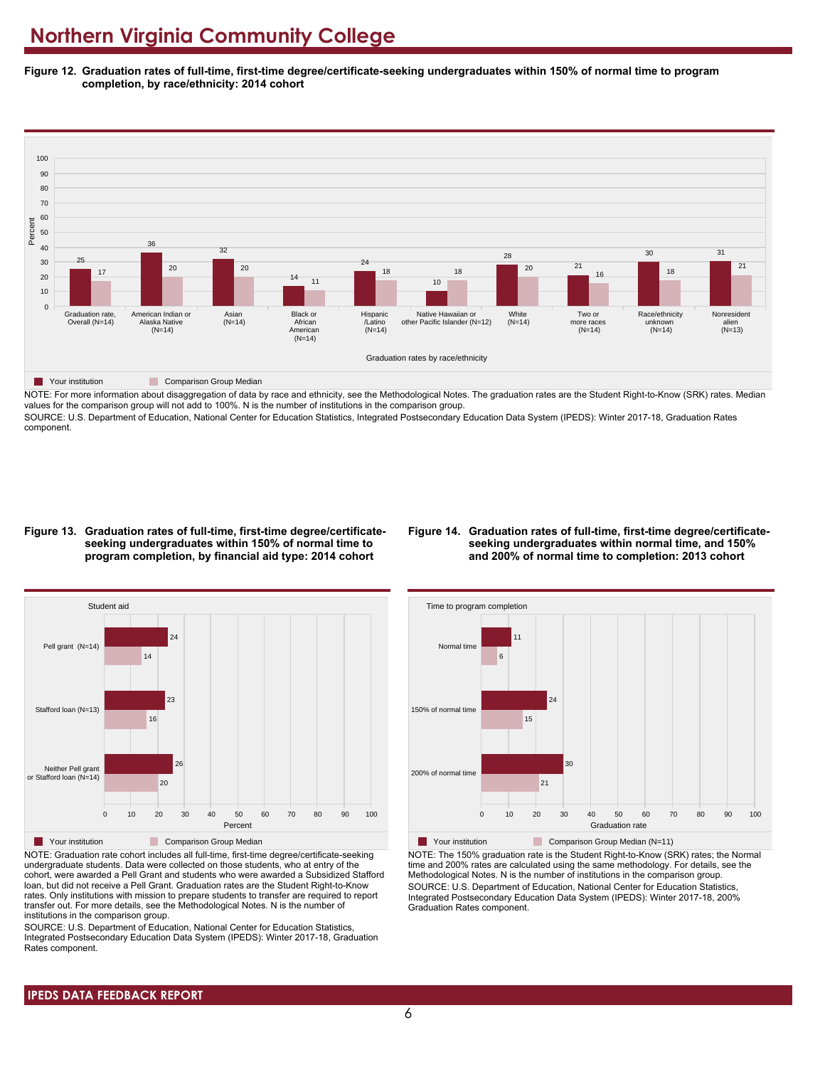**Figure 12. Graduation rates of full-time, first-time degree/certificate-seeking undergraduates within 150% of normal time to program completion, by race/ethnicity: 2014 cohort**



NOTE: For more information about disaggregation of data by race and ethnicity, see the Methodological Notes. The graduation rates are the Student Right-to-Know (SRK) rates. Median values for the comparison group will not add to 100%. N is the number of institutions in the comparison group.

SOURCE: U.S. Department of Education, National Center for Education Statistics, Integrated Postsecondary Education Data System (IPEDS): Winter 2017-18, Graduation Rates component.

#### **Figure 13. Graduation rates of full-time, first-time degree/certificateseeking undergraduates within 150% of normal time to program completion, by financial aid type: 2014 cohort**

#### **Figure 14. Graduation rates of full-time, first-time degree/certificateseeking undergraduates within normal time, and 150% and 200% of normal time to completion: 2013 cohort**



NOTE: Graduation rate cohort includes all full-time, first-time degree/certificate-seeking undergraduate students. Data were collected on those students, who at entry of the cohort, were awarded a Pell Grant and students who were awarded a Subsidized Stafford loan, but did not receive a Pell Grant. Graduation rates are the Student Right-to-Know rates. Only institutions with mission to prepare students to transfer are required to report transfer out. For more details, see the Methodological Notes. N is the number of institutions in the comparison group.

SOURCE: U.S. Department of Education, National Center for Education Statistics, Integrated Postsecondary Education Data System (IPEDS): Winter 2017-18, Graduation Rates component.



**Your institution** Comparison Group Median (N=11) NOTE: The 150% graduation rate is the Student Right-to-Know (SRK) rates; the Normal time and 200% rates are calculated using the same methodology. For details, see the Methodological Notes. N is the number of institutions in the comparison group. SOURCE: U.S. Department of Education, National Center for Education Statistics, Integrated Postsecondary Education Data System (IPEDS): Winter 2017-18, 200% Graduation Rates component.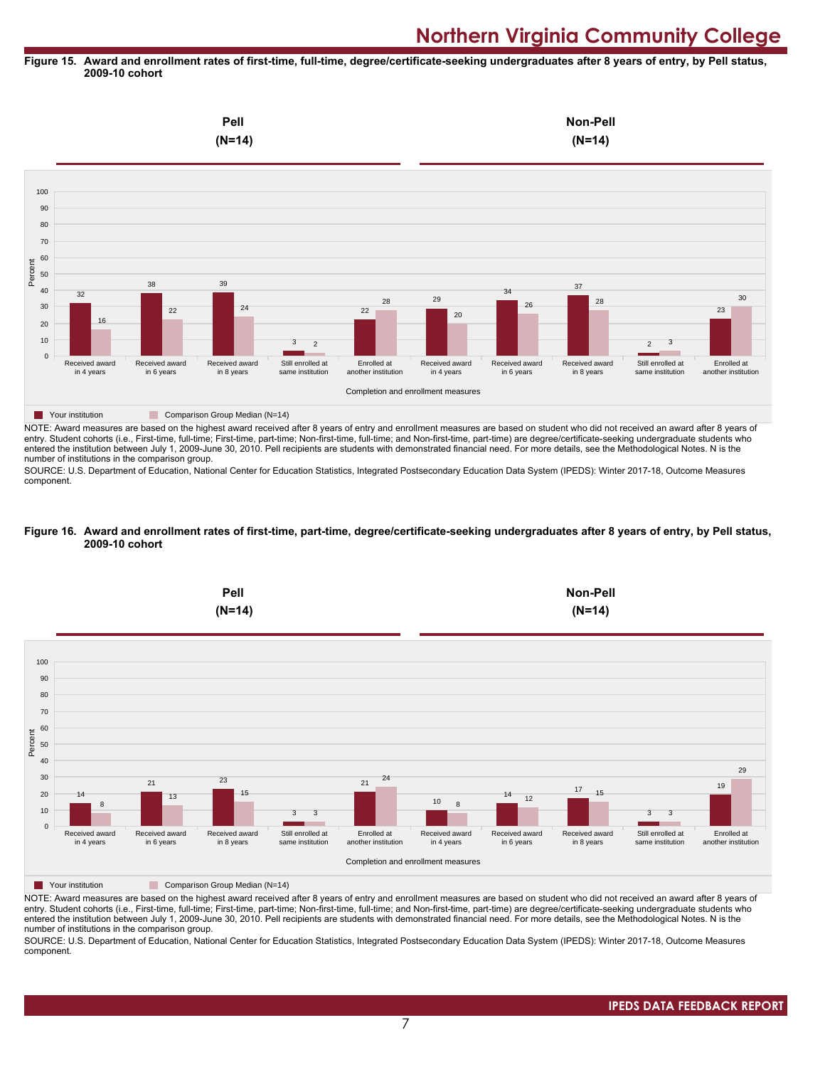#### **Figure 15. Award and enrollment rates of first-time, full-time, degree/certificate-seeking undergraduates after 8 years of entry, by Pell status, 2009-10 cohort**



NOTE: Award measures are based on the highest award received after 8 years of entry and enrollment measures are based on student who did not received an award after 8 years of entry. Student cohorts (i.e., First-time, full-time; First-time, part-time; Non-first-time, full-time; and Non-first-time, part-time) are degree/certificate-seeking undergraduate students who entered the institution between July 1, 2009-June 30, 2010. Pell recipients are students with demonstrated financial need. For more details, see the Methodological Notes. N is the number of institutions in the comparison group.

SOURCE: U.S. Department of Education, National Center for Education Statistics, Integrated Postsecondary Education Data System (IPEDS): Winter 2017-18, Outcome Measures component.

#### **Figure 16. Award and enrollment rates of first-time, part-time, degree/certificate-seeking undergraduates after 8 years of entry, by Pell status, 2009-10 cohort**



NOTE: Award measures are based on the highest award received after 8 years of entry and enrollment measures are based on student who did not received an award after 8 years of entry. Student cohorts (i.e., First-time, full-time; First-time, part-time; Non-first-time, full-time; and Non-first-time, part-time) are degree/certificate-seeking undergraduate students who entered the institution between July 1, 2009-June 30, 2010. Pell recipients are students with demonstrated financial need. For more details, see the Methodological Notes. N is the number of institutions in the comparison group.

SOURCE: U.S. Department of Education, National Center for Education Statistics, Integrated Postsecondary Education Data System (IPEDS): Winter 2017-18, Outcome Measures component.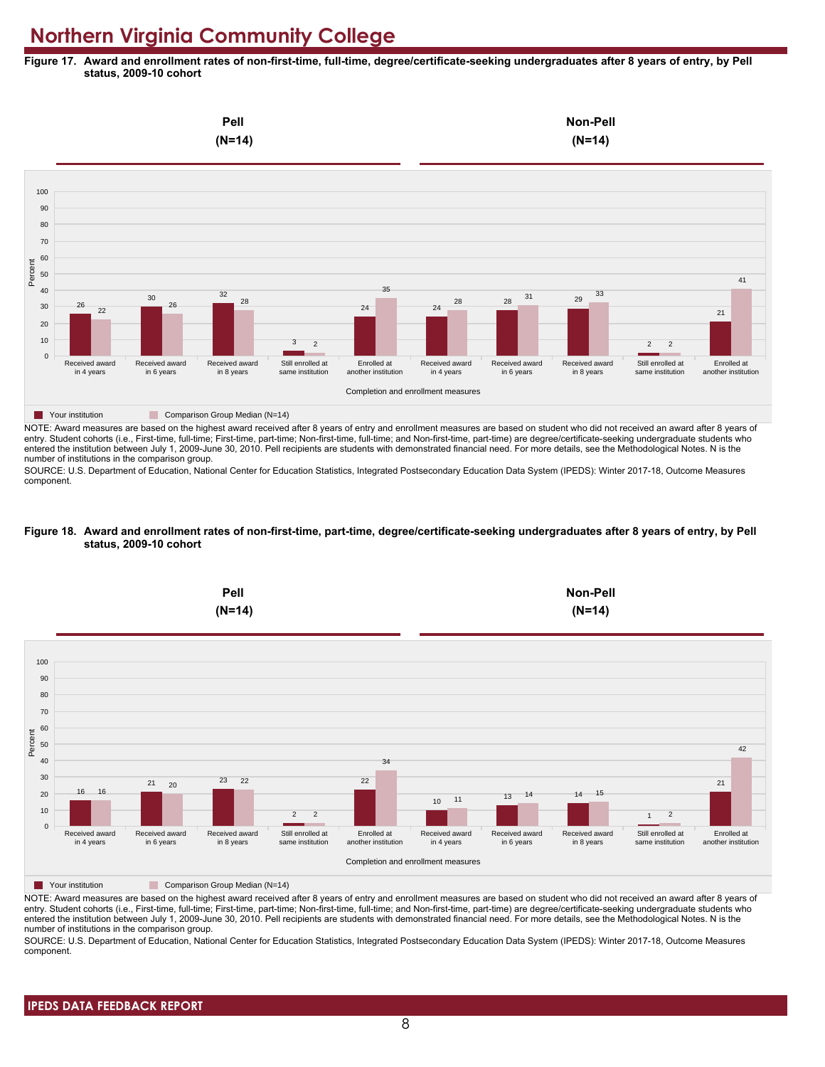**Figure 17. Award and enrollment rates of non-first-time, full-time, degree/certificate-seeking undergraduates after 8 years of entry, by Pell status, 2009-10 cohort**



NOTE: Award measures are based on the highest award received after 8 years of entry and enrollment measures are based on student who did not received an award after 8 years of entry. Student cohorts (i.e., First-time, full-time; First-time, part-time; Non-first-time, full-time; and Non-first-time, part-time) are degree/certificate-seeking undergraduate students who entered the institution between July 1, 2009-June 30, 2010. Pell recipients are students with demonstrated financial need. For more details, see the Methodological Notes. N is the number of institutions in the comparison group.

SOURCE: U.S. Department of Education, National Center for Education Statistics, Integrated Postsecondary Education Data System (IPEDS): Winter 2017-18, Outcome Measures component.

#### **Figure 18. Award and enrollment rates of non-first-time, part-time, degree/certificate-seeking undergraduates after 8 years of entry, by Pell status, 2009-10 cohort**



NOTE: Award measures are based on the highest award received after 8 years of entry and enrollment measures are based on student who did not received an award after 8 years of entry. Student cohorts (i.e., First-time, full-time; First-time, part-time; Non-first-time, full-time; and Non-first-time, part-time) are degree/certificate-seeking undergraduate students who entered the institution between July 1, 2009-June 30, 2010. Pell recipients are students with demonstrated financial need. For more details, see the Methodological Notes. N is the number of institutions in the comparison group.

SOURCE: U.S. Department of Education, National Center for Education Statistics, Integrated Postsecondary Education Data System (IPEDS): Winter 2017-18, Outcome Measures component.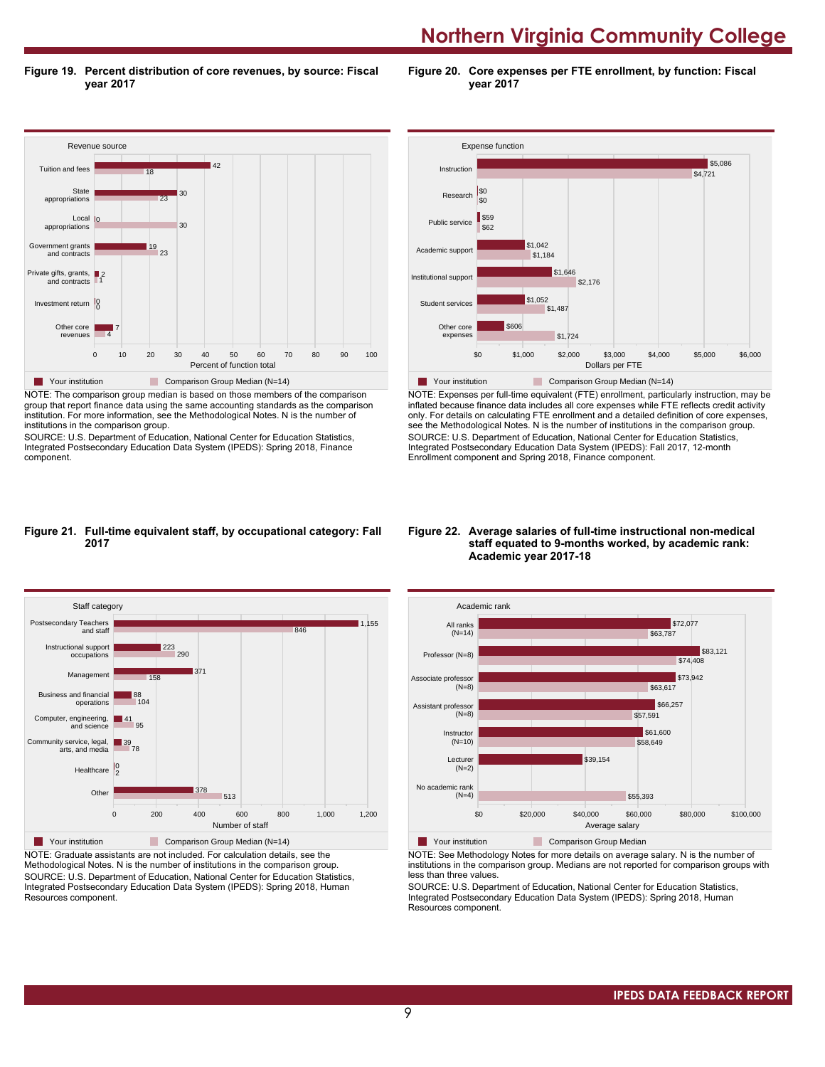**Figure 19. Percent distribution of core revenues, by source: Fiscal year 2017**

**Figure 20. Core expenses per FTE enrollment, by function: Fiscal year 2017**



NOTE: The comparison group median is based on those members of the comparison group that report finance data using the same accounting standards as the comparison institution. For more information, see the Methodological Notes. N is the number of institutions in the comparison group.

SOURCE: U.S. Department of Education, National Center for Education Statistics, Integrated Postsecondary Education Data System (IPEDS): Spring 2018, Finance component.



NOTE: Expenses per full-time equivalent (FTE) enrollment, particularly instruction, may be inflated because finance data includes all core expenses while FTE reflects credit activity only. For details on calculating FTE enrollment and a detailed definition of core expenses, see the Methodological Notes. N is the number of institutions in the comparison group. SOURCE: U.S. Department of Education, National Center for Education Statistics, Integrated Postsecondary Education Data System (IPEDS): Fall 2017, 12-month Enrollment component and Spring 2018, Finance component.

#### **Figure 21. Full-time equivalent staff, by occupational category: Fall 2017**



NOTE: Graduate assistants are not included. For calculation details, see the Methodological Notes. N is the number of institutions in the comparison group. SOURCE: U.S. Department of Education, National Center for Education Statistics, Integrated Postsecondary Education Data System (IPEDS): Spring 2018, Human Resources component.

#### **Figure 22. Average salaries of full-time instructional non-medical staff equated to 9-months worked, by academic rank: Academic year 2017-18**



NOTE: See Methodology Notes for more details on average salary. N is the number of institutions in the comparison group. Medians are not reported for comparison groups with less than three values.

SOURCE: U.S. Department of Education, National Center for Education Statistics, Integrated Postsecondary Education Data System (IPEDS): Spring 2018, Human Resources component.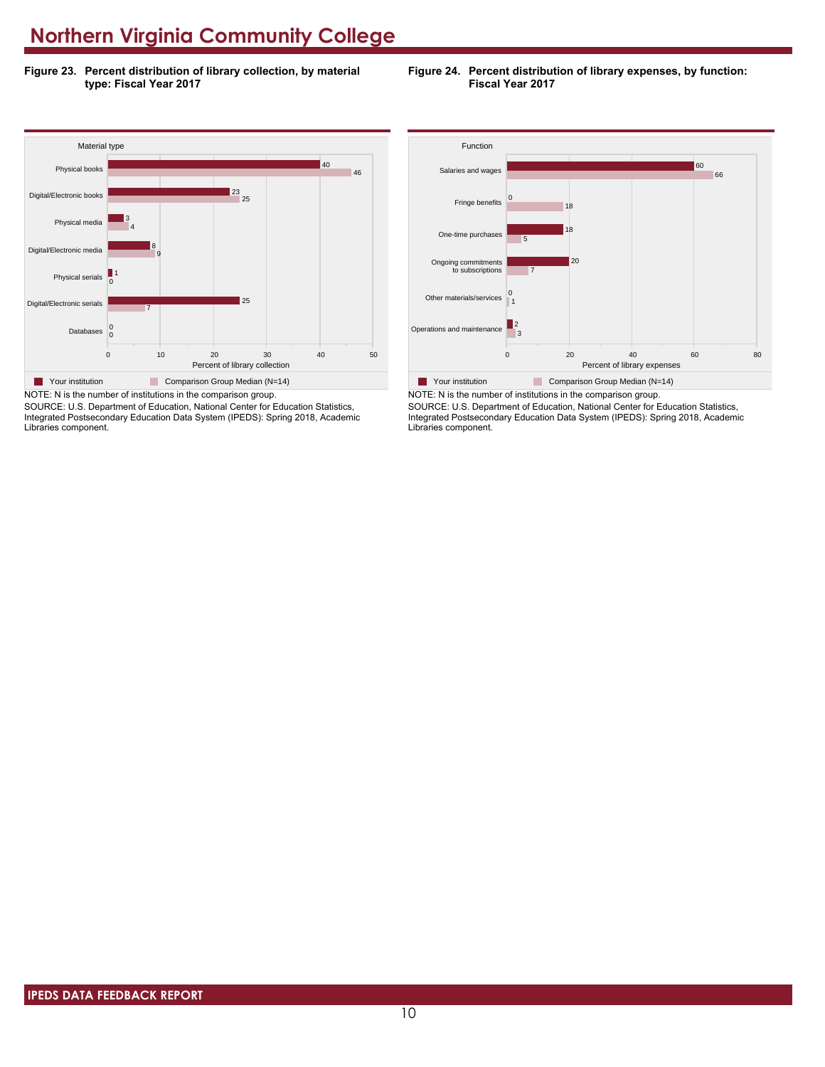**Figure 23. Percent distribution of library collection, by material type: Fiscal Year 2017**





NOTE: N is the number of institutions in the comparison group. SOURCE: U.S. Department of Education, National Center for Education Statistics, Integrated Postsecondary Education Data System (IPEDS): Spring 2018, Academic Libraries component.



SOURCE: U.S. Department of Education, National Center for Education Statistics, Integrated Postsecondary Education Data System (IPEDS): Spring 2018, Academic Libraries component.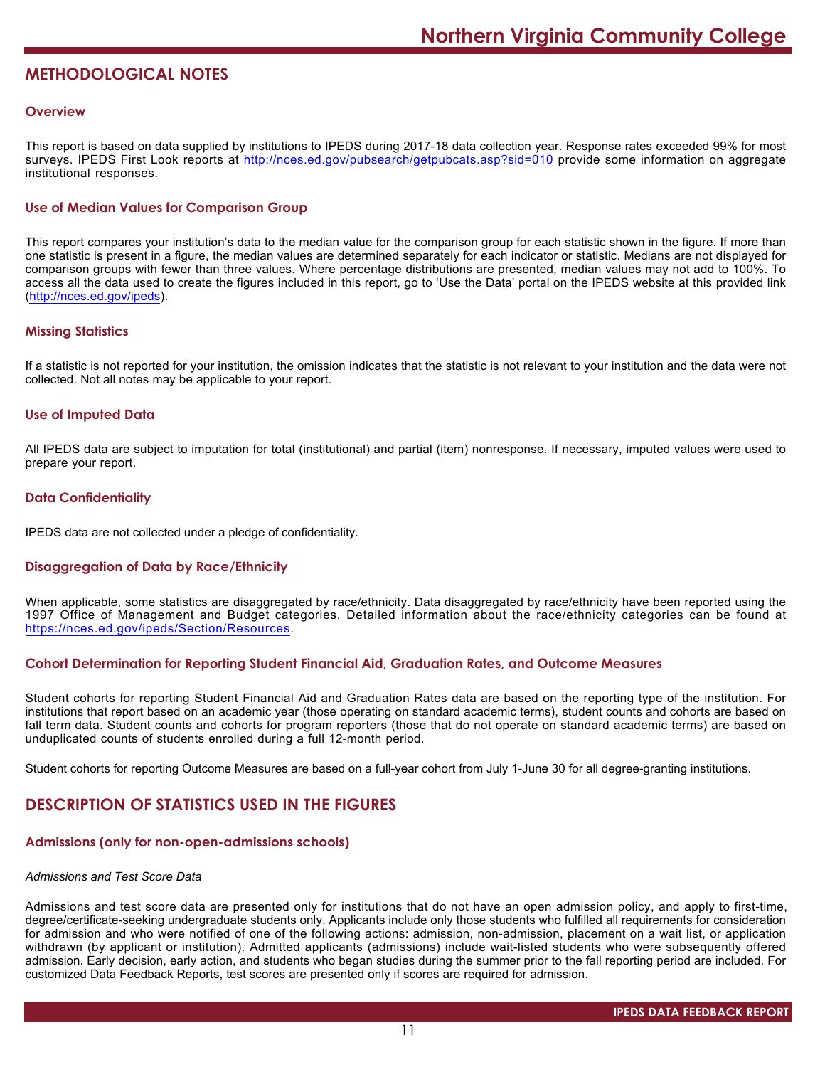# **METHODOLOGICAL NOTES**

## **Overview**

This report is based on data supplied by institutions to IPEDS during 2017-18 data collection year. Response rates exceeded 99% for most surveys. IPEDS First Look reports at <http://nces.ed.gov/pubsearch/getpubcats.asp?sid=010> provide some information on aggregate institutional responses.

# **Use of Median Values for Comparison Group**

This report compares your institution's data to the median value for the comparison group for each statistic shown in the figure. If more than one statistic is present in a figure, the median values are determined separately for each indicator or statistic. Medians are not displayed for comparison groups with fewer than three values. Where percentage distributions are presented, median values may not add to 100%. To access all the data used to create the figures included in this report, go to 'Use the Data' portal on the IPEDS website at this provided link (<http://nces.ed.gov/ipeds>).

### **Missing Statistics**

If a statistic is not reported for your institution, the omission indicates that the statistic is not relevant to your institution and the data were not collected. Not all notes may be applicable to your report.

### **Use of Imputed Data**

All IPEDS data are subject to imputation for total (institutional) and partial (item) nonresponse. If necessary, imputed values were used to prepare your report.

# **Data Confidentiality**

IPEDS data are not collected under a pledge of confidentiality.

# **Disaggregation of Data by Race/Ethnicity**

When applicable, some statistics are disaggregated by race/ethnicity. Data disaggregated by race/ethnicity have been reported using the 1997 Office of Management and Budget categories. Detailed information about the race/ethnicity categories can be found at <https://nces.ed.gov/ipeds/Section/Resources>.

### **Cohort Determination for Reporting Student Financial Aid, Graduation Rates, and Outcome Measures**

Student cohorts for reporting Student Financial Aid and Graduation Rates data are based on the reporting type of the institution. For institutions that report based on an academic year (those operating on standard academic terms), student counts and cohorts are based on fall term data. Student counts and cohorts for program reporters (those that do not operate on standard academic terms) are based on unduplicated counts of students enrolled during a full 12-month period.

Student cohorts for reporting Outcome Measures are based on a full-year cohort from July 1-June 30 for all degree-granting institutions.

# **DESCRIPTION OF STATISTICS USED IN THE FIGURES**

#### **Admissions (only for non-open-admissions schools)**

#### *Admissions and Test Score Data*

Admissions and test score data are presented only for institutions that do not have an open admission policy, and apply to first-time, degree/certificate-seeking undergraduate students only. Applicants include only those students who fulfilled all requirements for consideration for admission and who were notified of one of the following actions: admission, non-admission, placement on a wait list, or application withdrawn (by applicant or institution). Admitted applicants (admissions) include wait-listed students who were subsequently offered admission. Early decision, early action, and students who began studies during the summer prior to the fall reporting period are included. For customized Data Feedback Reports, test scores are presented only if scores are required for admission.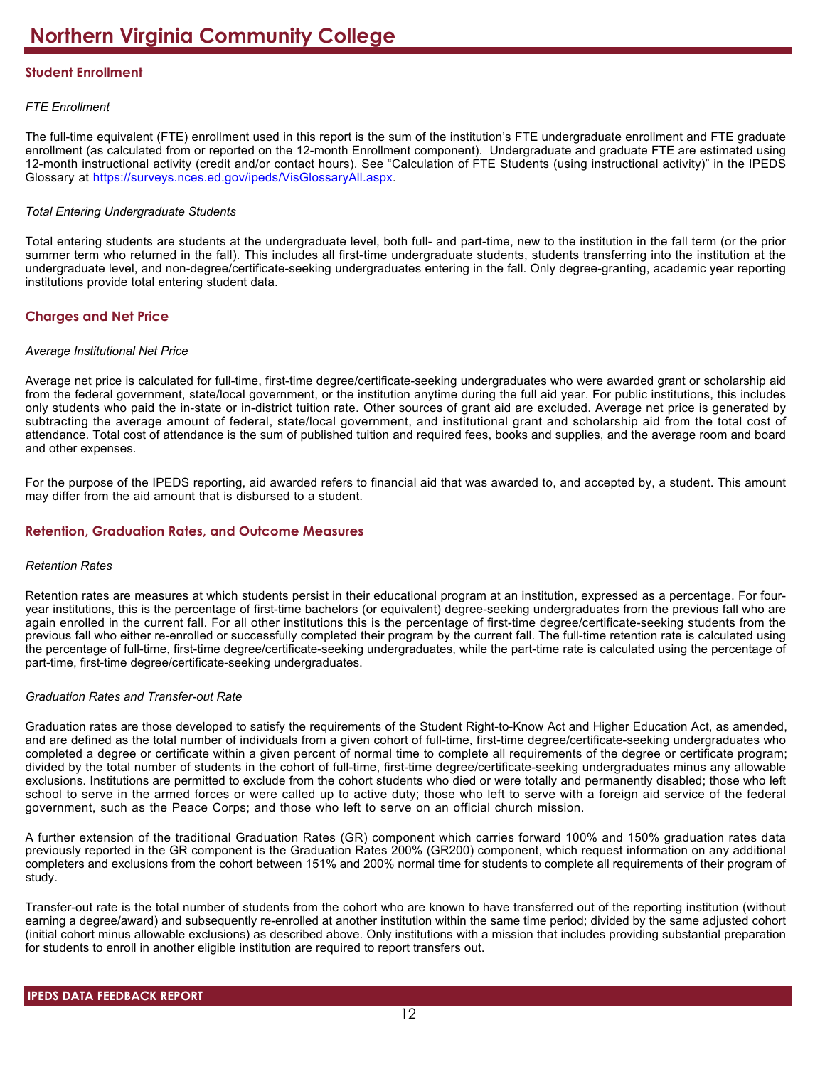# **Student Enrollment**

# *FTE Enrollment*

The full-time equivalent (FTE) enrollment used in this report is the sum of the institution's FTE undergraduate enrollment and FTE graduate enrollment (as calculated from or reported on the 12-month Enrollment component). Undergraduate and graduate FTE are estimated using 12-month instructional activity (credit and/or contact hours). See "Calculation of FTE Students (using instructional activity)" in the IPEDS Glossary at <https://surveys.nces.ed.gov/ipeds/VisGlossaryAll.aspx>.

# *Total Entering Undergraduate Students*

Total entering students are students at the undergraduate level, both full- and part-time, new to the institution in the fall term (or the prior summer term who returned in the fall). This includes all first-time undergraduate students, students transferring into the institution at the undergraduate level, and non-degree/certificate-seeking undergraduates entering in the fall. Only degree-granting, academic year reporting institutions provide total entering student data.

# **Charges and Net Price**

# *Average Institutional Net Price*

Average net price is calculated for full-time, first-time degree/certificate-seeking undergraduates who were awarded grant or scholarship aid from the federal government, state/local government, or the institution anytime during the full aid year. For public institutions, this includes only students who paid the in-state or in-district tuition rate. Other sources of grant aid are excluded. Average net price is generated by subtracting the average amount of federal, state/local government, and institutional grant and scholarship aid from the total cost of attendance. Total cost of attendance is the sum of published tuition and required fees, books and supplies, and the average room and board and other expenses.

For the purpose of the IPEDS reporting, aid awarded refers to financial aid that was awarded to, and accepted by, a student. This amount may differ from the aid amount that is disbursed to a student.

# **Retention, Graduation Rates, and Outcome Measures**

#### *Retention Rates*

Retention rates are measures at which students persist in their educational program at an institution, expressed as a percentage. For fouryear institutions, this is the percentage of first-time bachelors (or equivalent) degree-seeking undergraduates from the previous fall who are again enrolled in the current fall. For all other institutions this is the percentage of first-time degree/certificate-seeking students from the previous fall who either re-enrolled or successfully completed their program by the current fall. The full-time retention rate is calculated using the percentage of full-time, first-time degree/certificate-seeking undergraduates, while the part-time rate is calculated using the percentage of part-time, first-time degree/certificate-seeking undergraduates.

# *Graduation Rates and Transfer-out Rate*

Graduation rates are those developed to satisfy the requirements of the Student Right-to-Know Act and Higher Education Act, as amended, and are defined as the total number of individuals from a given cohort of full-time, first-time degree/certificate-seeking undergraduates who completed a degree or certificate within a given percent of normal time to complete all requirements of the degree or certificate program; divided by the total number of students in the cohort of full-time, first-time degree/certificate-seeking undergraduates minus any allowable exclusions. Institutions are permitted to exclude from the cohort students who died or were totally and permanently disabled; those who left school to serve in the armed forces or were called up to active duty; those who left to serve with a foreign aid service of the federal government, such as the Peace Corps; and those who left to serve on an official church mission.

A further extension of the traditional Graduation Rates (GR) component which carries forward 100% and 150% graduation rates data previously reported in the GR component is the Graduation Rates 200% (GR200) component, which request information on any additional completers and exclusions from the cohort between 151% and 200% normal time for students to complete all requirements of their program of study.

Transfer-out rate is the total number of students from the cohort who are known to have transferred out of the reporting institution (without earning a degree/award) and subsequently re-enrolled at another institution within the same time period; divided by the same adjusted cohort (initial cohort minus allowable exclusions) as described above. Only institutions with a mission that includes providing substantial preparation for students to enroll in another eligible institution are required to report transfers out.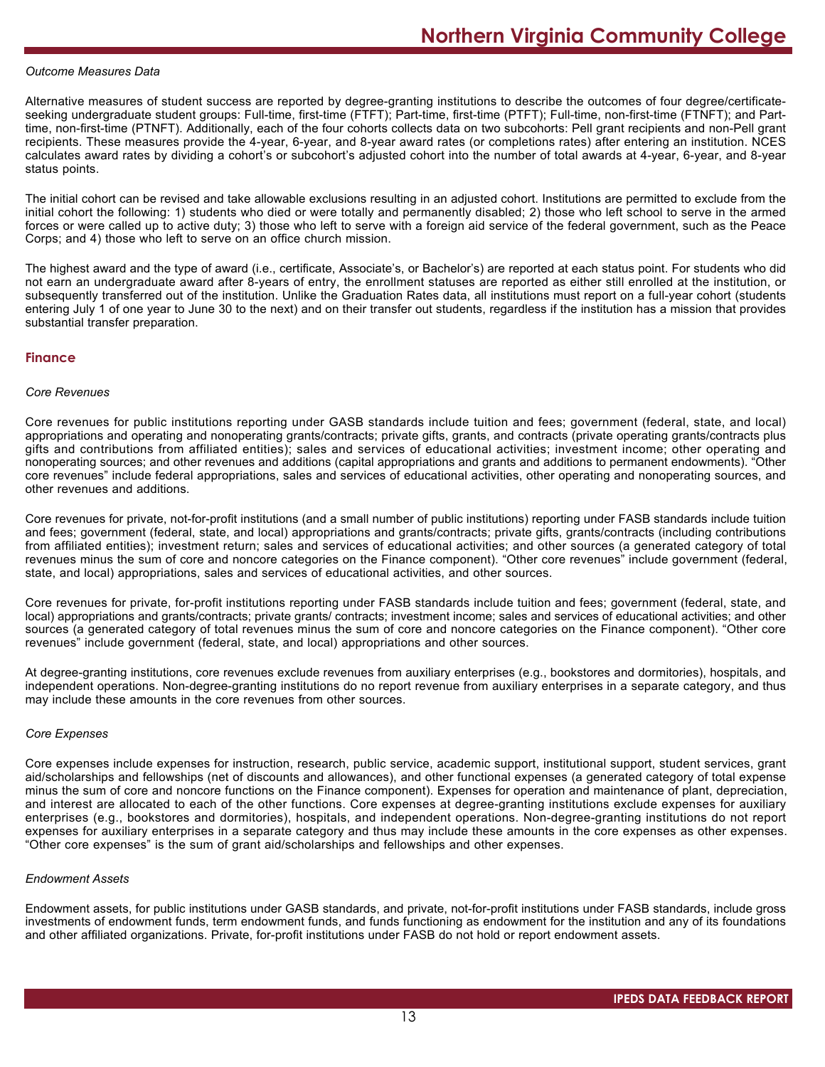#### *Outcome Measures Data*

Alternative measures of student success are reported by degree-granting institutions to describe the outcomes of four degree/certificateseeking undergraduate student groups: Full-time, first-time (FTFT); Part-time, first-time (PTFT); Full-time, non-first-time (FTNFT); and Parttime, non-first-time (PTNFT). Additionally, each of the four cohorts collects data on two subcohorts: Pell grant recipients and non-Pell grant recipients. These measures provide the 4-year, 6-year, and 8-year award rates (or completions rates) after entering an institution. NCES calculates award rates by dividing a cohort's or subcohort's adjusted cohort into the number of total awards at 4-year, 6-year, and 8-year status points.

The initial cohort can be revised and take allowable exclusions resulting in an adjusted cohort. Institutions are permitted to exclude from the initial cohort the following: 1) students who died or were totally and permanently disabled; 2) those who left school to serve in the armed forces or were called up to active duty; 3) those who left to serve with a foreign aid service of the federal government, such as the Peace Corps; and 4) those who left to serve on an office church mission.

The highest award and the type of award (i.e., certificate, Associate's, or Bachelor's) are reported at each status point. For students who did not earn an undergraduate award after 8-years of entry, the enrollment statuses are reported as either still enrolled at the institution, or subsequently transferred out of the institution. Unlike the Graduation Rates data, all institutions must report on a full-year cohort (students entering July 1 of one year to June 30 to the next) and on their transfer out students, regardless if the institution has a mission that provides substantial transfer preparation.

#### **Finance**

#### *Core Revenues*

Core revenues for public institutions reporting under GASB standards include tuition and fees; government (federal, state, and local) appropriations and operating and nonoperating grants/contracts; private gifts, grants, and contracts (private operating grants/contracts plus gifts and contributions from affiliated entities); sales and services of educational activities; investment income; other operating and nonoperating sources; and other revenues and additions (capital appropriations and grants and additions to permanent endowments). "Other core revenues" include federal appropriations, sales and services of educational activities, other operating and nonoperating sources, and other revenues and additions.

Core revenues for private, not-for-profit institutions (and a small number of public institutions) reporting under FASB standards include tuition and fees; government (federal, state, and local) appropriations and grants/contracts; private gifts, grants/contracts (including contributions from affiliated entities); investment return; sales and services of educational activities; and other sources (a generated category of total revenues minus the sum of core and noncore categories on the Finance component). "Other core revenues" include government (federal, state, and local) appropriations, sales and services of educational activities, and other sources.

Core revenues for private, for-profit institutions reporting under FASB standards include tuition and fees; government (federal, state, and local) appropriations and grants/contracts; private grants/ contracts; investment income; sales and services of educational activities; and other sources (a generated category of total revenues minus the sum of core and noncore categories on the Finance component). "Other core revenues" include government (federal, state, and local) appropriations and other sources.

At degree-granting institutions, core revenues exclude revenues from auxiliary enterprises (e.g., bookstores and dormitories), hospitals, and independent operations. Non-degree-granting institutions do no report revenue from auxiliary enterprises in a separate category, and thus may include these amounts in the core revenues from other sources.

#### *Core Expenses*

Core expenses include expenses for instruction, research, public service, academic support, institutional support, student services, grant aid/scholarships and fellowships (net of discounts and allowances), and other functional expenses (a generated category of total expense minus the sum of core and noncore functions on the Finance component). Expenses for operation and maintenance of plant, depreciation, and interest are allocated to each of the other functions. Core expenses at degree-granting institutions exclude expenses for auxiliary enterprises (e.g., bookstores and dormitories), hospitals, and independent operations. Non-degree-granting institutions do not report expenses for auxiliary enterprises in a separate category and thus may include these amounts in the core expenses as other expenses. "Other core expenses" is the sum of grant aid/scholarships and fellowships and other expenses.

#### *Endowment Assets*

Endowment assets, for public institutions under GASB standards, and private, not-for-profit institutions under FASB standards, include gross investments of endowment funds, term endowment funds, and funds functioning as endowment for the institution and any of its foundations and other affiliated organizations. Private, for-profit institutions under FASB do not hold or report endowment assets.